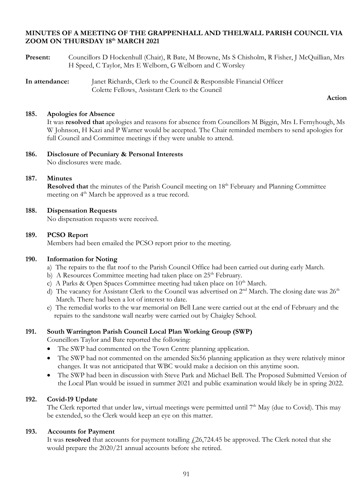## **MINUTES OF A MEETING OF THE GRAPPENHALL AND THELWALL PARISH COUNCIL VIA ZOOM ON THURSDAY 18th MARCH 2021**

- **Present:** Councillors D Hockenhull (Chair), R Bate, M Browne, Ms S Chisholm, R Fisher, J McQuillian, Mrs H Speed, C Taylor, Mrs E Welborn, G Welborn and C Worsley
- **In attendance:** Janet Richards, Clerk to the Council & Responsible Financial Officer Colette Fellows, Assistant Clerk to the Council

#### **Action**

#### **185. Apologies for Absence**

It was **resolved that** apologies and reasons for absence from Councillors M Biggin, Mrs L Fernyhough, Ms W Johnson, H Kazi and P Warner would be accepted. The Chair reminded members to send apologies for full Council and Committee meetings if they were unable to attend.

**186. Disclosure of Pecuniary & Personal Interests** No disclosures were made.

## **187. Minutes**

**Resolved that** the minutes of the Parish Council meeting on 18<sup>th</sup> February and Planning Committee meeting on 4<sup>th</sup> March be approved as a true record.

#### **188. Dispensation Requests**

No dispensation requests were received.

#### **189. PCSO Report**

Members had been emailed the PCSO report prior to the meeting.

#### **190. Information for Noting**

- a) The repairs to the flat roof to the Parish Council Office had been carried out during early March.
- b) A Resources Committee meeting had taken place on  $25<sup>th</sup>$  February.
- c) A Parks & Open Spaces Committee meeting had taken place on 10<sup>th</sup> March.
- d) The vacancy for Assistant Clerk to the Council was advertised on  $2<sup>nd</sup>$  March. The closing date was  $26<sup>th</sup>$ March. There had been a lot of interest to date.
- e) The remedial works to the war memorial on Bell Lane were carried out at the end of February and the repairs to the sandstone wall nearby were carried out by Chaigley School.

## **191. South Warrington Parish Council Local Plan Working Group (SWP)**

Councillors Taylor and Bate reported the following:

- The SWP had commented on the Town Centre planning application.
- The SWP had not commented on the amended Six56 planning application as they were relatively minor changes. It was not anticipated that WBC would make a decision on this anytime soon.
- The SWP had been in discussion with Steve Park and Michael Bell. The Proposed Submitted Version of the Local Plan would be issued in summer 2021 and public examination would likely be in spring 2022.

## **192. Covid-19 Update**

The Clerk reported that under law, virtual meetings were permitted until 7<sup>th</sup> May (due to Covid). This may be extended, so the Clerk would keep an eye on this matter.

## **193. Accounts for Payment**

It was **resolved** that accounts for payment totalling  $\frac{1}{26}$ ,724.45 be approved. The Clerk noted that she would prepare the 2020/21 annual accounts before she retired.